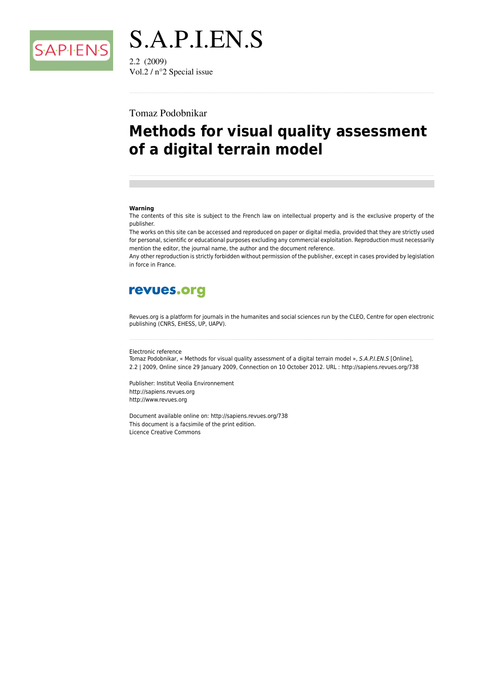

S.A.P.I.EN.S  $2.2(2009)$ Vol.2 / n°2 Special issue

## Tomaz Podobnikar

# **Methods for visual quality assessment** of a digital terrain model

#### Warning

The contents of this site is subject to the French law on intellectual property and is the exclusive property of the publisher.

The works on this site can be accessed and reproduced on paper or digital media, provided that they are strictly used for personal, scientific or educational purposes excluding any commercial exploitation. Reproduction must necessarily mention the editor, the journal name, the author and the document reference.

Any other reproduction is strictly forbidden without permission of the publisher, except in cases provided by legislation in force in France.

## revues.org

Revues org is a platform for journals in the humanites and social sciences run by the CLEO. Centre for open electronic publishing (CNRS, EHESS, UP, UAPV).

#### Flectronic reference

Tomaz Podobnikar, « Methods for visual quality assessment of a digital terrain model », S.A.P.I.EN.S [Online], 2.2 | 2009, Online since 29 January 2009, Connection on 10 October 2012. URL : http://sapiens.revues.org/738

Publisher: Institut Veolia Environnement http://sapiens.revues.org http://www.revues.org

Document available online on: http://sapiens.revues.org/738 This document is a facsimile of the print edition. **Licence Creative Commons**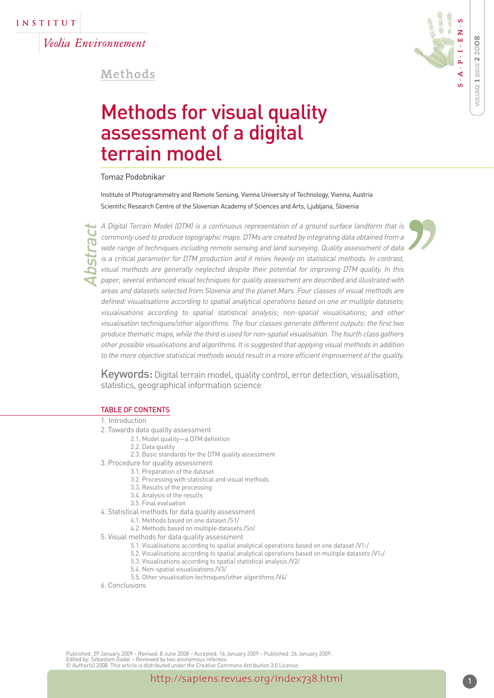Veolia Environnement

## **Methods**



'

Methods for visual quality assessment of a digital terrain model

Tomaz Podobnikar

Institute of Photogrammetry and Remote Sensing, Vienna University of Technology, Vienna, Austria Scientific Research Centre of the Slovenian Academy of Sciences and Arts, Ljubljana, Slovenia

Abstract

A Digital Terrain Model (DTM) is a continuous representation of a ground surface landform that is commonly used to produce topographic maps. DTMs are created by integrating data obtained from a wide range of techniques including remote sensing and land surveying. Quality assessment of data is a critical parameter for DTM production and it relies heavily on statistical methods. In contrast, visual methods are generally neglected despite their potential for improving DTM quality. In this paper, several enhanced visual techniques for quality assessment are described and illustrated with areas and datasets selected from Slovenia and the planet Mars. Four classes of visual methods are defined: visualisations according to spatial analytical operations based on one or multiple datasets; visualisations according to spatial statistical analysis; non-spatial visualisations; and other visualisation techniques/other algorithms. The four classes generate different outputs: the first two produce thematic maps, while the third is used for non-spatial visualisation. The fourth class gathers other possible visualisations and algorithms. It is suggested that applying visual methods in addition to the more objective statistical methods would result in a more efficient improvement of the quality.  $\begin{array}{c} \n 5 \\
\rightarrow \\
3 \\
\rightarrow \\
4\n \end{array}$ 

Keywords: Digital terrain model, quality control, error detection, visualisation, statistics, geographical information science

## TABLE OF CONTENTS

#### 1. Introduction

- 2. Towards data quality assessment
	- 2.1. Model quality—a DTM definition
	- 2.2. Data quality
	- 2.3. Basic standards for the DTM quality assessment
- 3. Procedure for quality assessment
	- 3.1. Preparation of the dataset
	- 3.2. Processing with statistical and visual methods
	- 3.3. Results of the processing
	- 3.4. Analysis of the results
	- 3.5. Final evaluation
- 4. Statistical methods for data quality assessment
	- 4.1. Methods based on one dataset /S1/
	- 4.2. Methods based on multiple datasets /Sn/
- 5. Visual methods for data quality assessment
	- 5.1. Visualisations according to spatial analytical operations based on one dataset /V11/
	- 5.2. Visualisations according to spatial analytical operations based on multiple datasets  $N1_n/$
	- 5.3. Visualisations according to spatial statistical analysis /V2/
	- 5.4. Non-spatial visualisations /V3/
	- 5.5. Other visualisation techniques/other algorithms /V4/
- 6. Conclusions

Published: 29 January 2009 – Revised: 8 June 2008 – Accepted: 16 January 2009 – Published: 26 January 2009. Edited by: Sébastien Gadal – Reviewed by two anonymous referees. © Author(s) 2008. This article is distributed under the Creative Commons Attribution 3.0 License.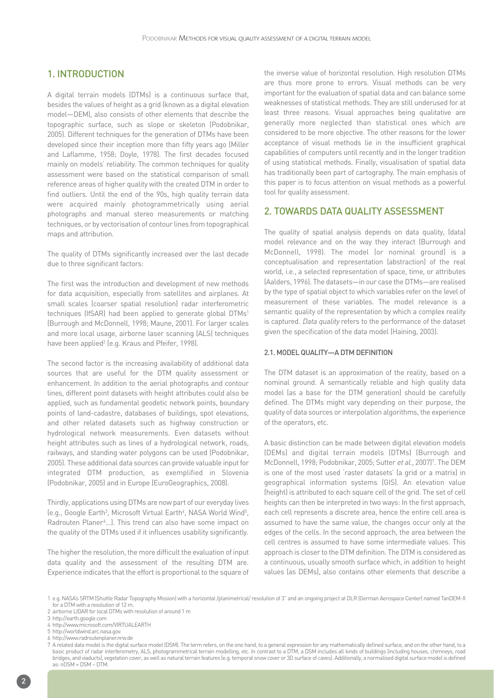## 1. INTRODUCTION

A digital terrain models (DTMs) is a continuous surface that, besides the values of height as a grid (known as a digital elevation model—DEM), also consists of other elements that describe the topographic surface, such as slope or skeleton (Podobnikar, 2005). Different techniques for the generation of DTMs have been developed since their inception more than fifty years ago (Miller and Laflamme, 1958; Doyle, 1978). The first decades focused mainly on models' reliability. The common techniques for quality assessment were based on the statistical comparison of small reference areas of higher quality with the created DTM in order to find outliers. Until the end of the 90s, high quality terrain data were acquired mainly photogrammetrically using aerial photographs and manual stereo measurements or matching techniques, or by vectorisation of contour lines from topographical maps and attribution.

The quality of DTMs significantly increased over the last decade due to three significant factors:

The first was the introduction and development of new methods for data acquisition, especially from satellites and airplanes. At small scales (coarser spatial resolution) radar interferometric techniques (IfSAR) had been applied to generate global DTMs<sup>1</sup> (Burrough and McDonnell, 1998; Maune, 2001). For larger scales and more local usage, airborne laser scanning (ALS) techniques have been applied<sup>2</sup> (e.g. Kraus and Pfeifer, 1998).

The second factor is the increasing availability of additional data sources that are useful for the DTM quality assessment or enhancement. In addition to the aerial photographs and contour lines, different point datasets with height attributes could also be applied, such as fundamental geodetic network points, boundary points of land-cadastre, databases of buildings, spot elevations, and other related datasets such as highway construction or hydrological network measurements. Even datasets without height attributes such as lines of a hydrological network, roads, railways, and standing water polygons can be used (Podobnikar, 2005). These additional data sources can provide valuable input for integrated DTM production, as exemplified in Slovenia (Podobnikar, 2005) and in Europe (EuroGeographics, 2008).

Thirdly, applications using DTMs are now part of our everyday lives (e.g., Google Earth<sup>3</sup>, Microsoft Virtual Earth<sup>4</sup>, NASA World Wind<sup>5</sup>, Radrouten Planer<sup>6</sup>...). This trend can also have some impact on the quality of the DTMs used if it influences usability significantly.

The higher the resolution, the more difficult the evaluation of input data quality and the assessment of the resulting DTM are. Experience indicates that the effort is proportional to the square of the inverse value of horizontal resolution. High resolution DTMs are thus more prone to errors. Visual methods can be very important for the evaluation of spatial data and can balance some weaknesses of statistical methods. They are still underused for at least three reasons. Visual approaches being qualitative are generally more neglected than statistical ones which are considered to be more objective. The other reasons for the lower acceptance of visual methods lie in the insufficient graphical capabilities of computers until recently and in the longer tradition of using statistical methods. Finally, visualisation of spatial data has traditionally been part of cartography. The main emphasis of this paper is to focus attention on visual methods as a powerful tool for quality assessment.

## 2. TOWARDS DATA QUALITY ASSESSMENT

The quality of spatial analysis depends on data quality, (data) model relevance and on the way they interact (Burrough and McDonnell, 1998). The model (or nominal ground) is a conceptualisation and representation (abstraction) of the real world, i.e., a selected representation of space, time, or attributes (Aalders, 1996). The datasets—in our case the DTMs—are realised by the type of spatial object to which variables refer on the level of measurement of these variables. The model relevance is a semantic quality of the representation by which a complex reality is captured. Data quality refers to the performance of the dataset given the specification of the data model (Haining, 2003).

#### 2.1. MODEL QUALITY—A DTM DEFINITION

The DTM dataset is an approximation of the reality, based on a nominal ground. A semantically reliable and high quality data model (as a base for the DTM generation) should be carefully defined. The DTMs might vary depending on their purpose, the quality of data sources or interpolation algorithms, the experience of the operators, etc.

A basic distinction can be made between digital elevation models (DEMs) and digital terrain models (DTMs) (Burrough and McDonnell, 1998; Podobnikar, 2005; Sutter et al., 2007)<sup>7</sup>. The DEM is one of the most used 'raster datasets' (a grid or a matrix) in geographical information systems (GIS). An elevation value (height) is attributed to each square cell of the grid. The set of cell heights can then be interpreted in two ways: In the first approach, each cell represents a discrete area, hence the entire cell area is assumed to have the same value, the changes occur only at the edges of the cells. In the second approach, the area between the cell centres is assumed to have some intermediate values. This approach is closer to the DTM definition. The DTM is considered as a continuous, usually smooth surface which, in addition to height values (as DEMs), also contains other elements that describe a

1 e.g. NASA's SRTM (Shuttle Radar Topography Mission) with a horizontal /planimetrical/ resolution of 3" and an ongoing project at DLR (German Aerospace Center) named TanDEM-X for a DTM with a resolution of 12 m.

<sup>2</sup> airborne LIDAR for local DTMs with resolution of around 1 m

<sup>3</sup> http://earth.google.com

<sup>4</sup> http://www.microsoft.com/VIRTUALEARTH

<sup>5</sup> http://worldwind.arc.nasa.gov.

<sup>6</sup> http://www.radroutenplaner.nrw.de

<sup>7</sup> A related data model is the digital surface model (DSM). The term refers, on the one hand, to a general expression for any mathematically defined surface, and on the other hand, to a basic product of radar interferometry, ALS, photogrammetrical terrain modelling, etc. In contrast to a DTM, a DSM includes all kinds of buildings (including houses, chimneys, road bridges, and viaducts), vegetation cover, as well as natural terrain features (e.g. temporal snow cover or 3D surface of caves). Additionally, a normalised digital surface model is defined  $as: nDSM = DSM - DTM$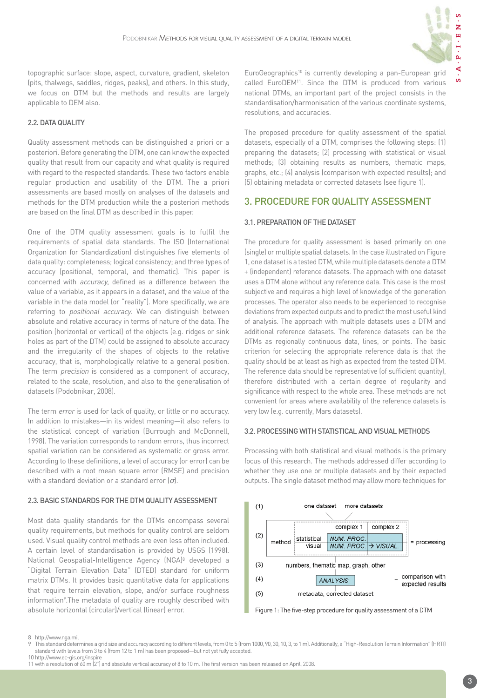

 $\overline{S}$ 

topographic surface: slope, aspect, curvature, gradient, skeleton (pits, thalwegs, saddles, ridges, peaks), and others. In this study, we focus on DTM but the methods and results are largely applicable to DEM also.

## 2.2. DATA QUALITY

Quality assessment methods can be distinguished a priori or a posteriori. Before generating the DTM, one can know the expected quality that result from our capacity and what quality is required with regard to the respected standards. These two factors enable regular production and usability of the DTM. The a priori assessments are based mostly on analyses of the datasets and methods for the DTM production while the a posteriori methods are based on the final DTM as described in this paper.

One of the DTM quality assessment goals is to fulfil the requirements of spatial data standards. The ISO (International Organization for Standardization) distinguishes five elements of data quality: completeness; logical consistency; and three types of accuracy (positional, temporal, and thematic). This paper is concerned with accuracy, defined as a difference between the value of a variable, as it appears in a dataset, and the value of the variable in the data model (or "reality"). More specifically, we are referring to *positional accuracy*. We can distinguish between absolute and relative accuracy in terms of nature of the data. The position (horizontal or vertical) of the objects (e.g. ridges or sink holes as part of the DTM) could be assigned to absolute accuracy and the irregularity of the shapes of objects to the relative accuracy, that is, morphologically relative to a general position. The term *precision* is considered as a component of accuracy, related to the scale, resolution, and also to the generalisation of datasets (Podobnikar, 2008).

The term error is used for lack of quality, or little or no accuracy. In addition to mistakes—in its widest meaning—it also refers to the statistical concept of variation (Burrough and McDonnell, 1998). The variation corresponds to random errors, thus incorrect spatial variation can be considered as systematic or gross error. According to these definitions, a level of accuracy (or error) can be described with a root mean square error (RMSE) and precision with a standard deviation or a standard error  $(\sigma)$ .

## 2.3. BASIC STANDARDS FOR THE DTM QUALITY ASSESSMENT

Most data quality standards for the DTMs encompass several quality requirements, but methods for quality control are seldom used. Visual quality control methods are even less often included. A certain level of standardisation is provided by USGS (1998). National Geospatial-Intelligence Agency (NGA)8 developed a "Digital Terrain Elevation Data" (DTED) standard for uniform matrix DTMs. It provides basic quantitative data for applications that require terrain elevation, slope, and/or surface roughness information<sup>9</sup>. The metadata of quality are roughly described with absolute horizontal (circular)/vertical (linear) error.

EuroGeographics<sup>10</sup> is currently developing a pan-European grid called EuroDEM<sup>11</sup>. Since the DTM is produced from various national DTMs, an important part of the project consists in the standardisation/harmonisation of the various coordinate systems, resolutions, and accuracies.

The proposed procedure for quality assessment of the spatial datasets, especially of a DTM, comprises the following steps: (1) preparing the datasets; (2) processing with statistical or visual methods; (3) obtaining results as numbers, thematic maps, graphs, etc.; (4) analysis (comparison with expected results); and (5) obtaining metadata or corrected datasets (see figure 1).

## 3. PROCEDURE FOR QUALITY ASSESSMENT

## 3.1. PREPARATION OF THE DATASET

The procedure for quality assessment is based primarily on one (single) or multiple spatial datasets. In the case illustrated on Figure 1, one dataset is a tested DTM, while multiple datasets denote a DTM + (independent) reference datasets. The approach with one dataset uses a DTM alone without any reference data. This case is the most subjective and requires a high level of knowledge of the generation processes. The operator also needs to be experienced to recognise deviations from expected outputs and to predict the most useful kind of analysis. The approach with multiple datasets uses a DTM and additional reference datasets. The reference datasets can be the DTMs as regionally continuous data, lines, or points. The basic criterion for selecting the appropriate reference data is that the quality should be at least as high as expected from the tested DTM. The reference data should be representative (of sufficient quantity), therefore distributed with a certain degree of regularity and significance with respect to the whole area. These methods are not convenient for areas where availability of the reference datasets is very low (e.g. currently, Mars datasets).

## 3.2. PROCESSING WITH STATISTICAL AND VISUAL METHODS

Processing with both statistical and visual methods is the primary focus of this research. The methods addressed differ according to whether they use one or multiple datasets and by their expected outputs. The single dataset method may allow more techniques for



Figure 1: The five-step procedure for quality assessment of a DTM

<sup>8</sup> http://www.nga.mil<br>9 This standard deter

<sup>9</sup> This standard determines a grid size and accuracy according to different levels, from 0 to 5 (from 1000, 90, 30, 10, 3, to 1 m). Additionally, a "High-Resolution Terrain Information" (HRTI) standard with levels from 3 to 4 (from 12 to 1 m) has been proposed—but not yet fully accepted. 10 http://www.ec-gis.org/inspire

<sup>11</sup> with a resolution of 60 m (2") and absolute vertical accuracy of 8 to 10 m. The first version has been released on April, 2008.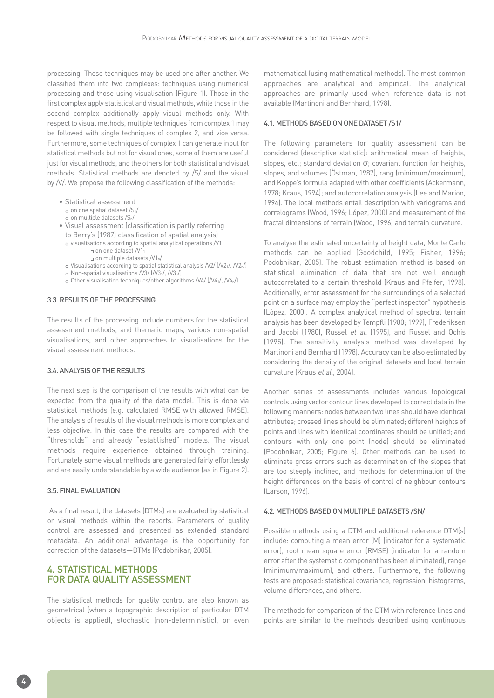processing. These techniques may be used one after another. We classified them into two complexes: techniques using numerical processing and those using visualisation (Figure 1). Those in the first complex apply statistical and visual methods, while those in the second complex additionally apply visual methods only. With respect to visual methods, multiple techniques from complex 1 may be followed with single techniques of complex 2, and vice versa. Furthermore, some techniques of complex 1 can generate input for statistical methods but not for visual ones, some of them are useful just for visual methods, and the others for both statistical and visual methods. Statistical methods are denoted by /S/ and the visual by /V/. We propose the following classification of the methods:

- Statistical assessment
- on one spatial dataset /S1/
- on multiple datasets /Sn/
- Visual assessment (classification is partly referring
	- to Berry's (1987) classification of spatial analysis)
	- visualisations according to spatial analytical operations /V1  $\Box$  on one dataset /V11
		- on multiple datasets /V1n/
	- Visualisations according to spatial statistical analysis /V2/ (/V21/, /V2n/)
	- o Non-spatial visualisations  $\overline{N}$ 3/ ( $\overline{N}$ 3<sub>1</sub>/,  $\overline{N}$ 3<sub>n</sub>/)
	- o Other visualisation techniques/other algorithms /V4/ (/V41/, /V4n/)

#### 3.3. RESULTS OF THE PROCESSING

The results of the processing include numbers for the statistical assessment methods, and thematic maps, various non-spatial visualisations, and other approaches to visualisations for the visual assessment methods.

#### 3.4. ANALYSIS OF THE RESULTS

The next step is the comparison of the results with what can be expected from the quality of the data model. This is done via statistical methods (e.g. calculated RMSE with allowed RMSE). The analysis of results of the visual methods is more complex and less objective. In this case the results are compared with the "thresholds" and already "established" models. The visual methods require experience obtained through training. Fortunately some visual methods are generated fairly effortlessly and are easily understandable by a wide audience (as in Figure 2).

#### 3.5. FINAL EVALUATION

As a final result, the datasets (DTMs) are evaluated by statistical or visual methods within the reports. Parameters of quality control are assessed and presented as extended standard metadata. An additional advantage is the opportunity for correction of the datasets—DTMs (Podobnikar, 2005).

## 4. STATISTICAL METHODS FOR DATA QUALITY ASSESSMENT

The statistical methods for quality control are also known as geometrical (when a topographic description of particular DTM objects is applied), stochastic (non-deterministic), or even mathematical (using mathematical methods). The most common approaches are analytical and empirical. The analytical approaches are primarily used when reference data is not available (Martinoni and Bernhard, 1998).

#### 4.1. METHODS BASED ON ONE DATASET /S1/

The following parameters for quality assessment can be considered (descriptive statistic): arithmetical mean of heights, slopes, etc.; standard deviation  $\sigma$ ; covariant function for heights, slopes, and volumes (Östman, 1987), rang (minimum/maximum), and Koppe's formula adapted with other coefficients (Ackermann, 1978; Kraus, 1994); and autocorrelation analysis (Lee and Marion, 1994). The local methods entail description with variograms and correlograms (Wood, 1996; López, 2000) and measurement of the fractal dimensions of terrain (Wood, 1996) and terrain curvature.

To analyse the estimated uncertainty of height data, Monte Carlo methods can be applied (Goodchild, 1995; Fisher, 1996; Podobnikar, 2005). The robust estimation method is based on statistical elimination of data that are not well enough autocorrelated to a certain threshold (Kraus and Pfeifer, 1998). Additionally, error assessment for the surroundings of a selected point on a surface may employ the "perfect inspector" hypothesis (López, 2000). A complex analytical method of spectral terrain analysis has been developed by Tempfli (1980; 1999), Frederiksen and Jacobi (1980), Russel et al. (1995), and Russel and Ochis (1995). The sensitivity analysis method was developed by Martinoni and Bernhard (1998). Accuracy can be also estimated by considering the density of the original datasets and local terrain curvature (Kraus et al., 2004).

Another series of assessments includes various topological controls using vector contour lines developed to correct data in the following manners: nodes between two lines should have identical attributes; crossed lines should be eliminated; different heights of points and lines with identical coordinates should be unified; and contours with only one point (node) should be eliminated (Podobnikar, 2005; Figure 6). Other methods can be used to eliminate gross errors such as determination of the slopes that are too steeply inclined, and methods for determination of the height differences on the basis of control of neighbour contours (Larson, 1996).

## 4.2. METHODS BASED ON MULTIPLE DATASETS /SN/

Possible methods using a DTM and additional reference DTM(s) include: computing a mean error (M) (indicator for a systematic error), root mean square error (RMSE) (indicator for a random error after the systematic component has been eliminated), range (minimum/maximum), and others. Furthermore, the following tests are proposed: statistical covariance, regression, histograms, volume differences, and others.

The methods for comparison of the DTM with reference lines and points are similar to the methods described using continuous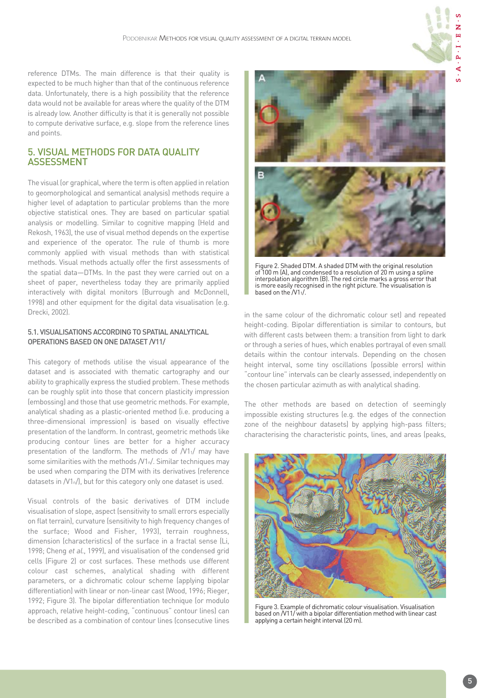reference DTMs. The main difference is that their quality is expected to be much higher than that of the continuous reference data. Unfortunately, there is a high possibility that the reference data would not be available for areas where the quality of the DTM is already low. Another difficulty is that it is generally not possible to compute derivative surface, e.g. slope from the reference lines and points.

## 5. VISUAL METHODS FOR DATA QUALITY ASSESSMENT

The visual (or graphical, where the term is often applied in relation to geomorphological and semantical analysis) methods require a higher level of adaptation to particular problems than the more objective statistical ones. They are based on particular spatial analysis or modelling. Similar to cognitive mapping (Held and Rekosh, 1963), the use of visual method depends on the expertise and experience of the operator. The rule of thumb is more commonly applied with visual methods than with statistical methods. Visual methods actually offer the first assessments of the spatial data—DTMs. In the past they were carried out on a sheet of paper, nevertheless today they are primarily applied interactively with digital monitors (Burrough and McDonnell, 1998) and other equipment for the digital data visualisation (e.g. Drecki, 2002).

## 5.1. VISUALISATIONS ACCORDING TO SPATIAL ANALYTICAL OPERATIONS BASED ON ONE DATASET /V11/

This category of methods utilise the visual appearance of the dataset and is associated with thematic cartography and our ability to graphically express the studied problem. These methods can be roughly split into those that concern plasticity impression (embossing) and those that use geometric methods. For example, analytical shading as a plastic-oriented method (i.e. producing a three-dimensional impression) is based on visually effective presentation of the landform. In contrast, geometric methods like producing contour lines are better for a higher accuracy presentation of the landform. The methods of /V11/ may have some similarities with the methods /V1n/. Similar techniques may be used when comparing the DTM with its derivatives (reference datasets in  $/V1_n/l$ , but for this category only one dataset is used.

Visual controls of the basic derivatives of DTM include visualisation of slope, aspect (sensitivity to small errors especially on flat terrain), curvature (sensitivity to high frequency changes of the surface; Wood and Fisher, 1993), terrain roughness, dimension (characteristics) of the surface in a fractal sense (Li, 1998; Cheng et al., 1999), and visualisation of the condensed grid cells (Figure 2) or cost surfaces. These methods use different colour cast schemes, analytical shading with different parameters, or a dichromatic colour scheme (applying bipolar differentiation) with linear or non-linear cast (Wood, 1996; Rieger, 1992; Figure 3). The bipolar differentiation technique (or modulo approach, relative height-coding, "continuous" contour lines) can be described as a combination of contour lines (consecutive lines



Figure 2. Shaded DTM. A shaded DTM with the original resolution of 100 m (A), and condensed to a resolution of 20 m using a spline interpolation algorithm (B). The red circle marks a gross error that is more easily recognised in the right picture. The visualisation is based on the /V11/.

in the same colour of the dichromatic colour set) and repeated height-coding. Bipolar differentiation is similar to contours, but with different casts between them: a transition from light to dark or through a series of hues, which enables portrayal of even small details within the contour intervals. Depending on the chosen height interval, some tiny oscillations (possible errors) within "contour line" intervals can be clearly assessed, independently on the chosen particular azimuth as with analytical shading.

The other methods are based on detection of seemingly impossible existing structures (e.g. the edges of the connection zone of the neighbour datasets) by applying high-pass filters; characterising the characteristic points, lines, and areas (peaks,



Figure 3. Example of dichromatic colour visualisation. Visualisation based on /V11/ with a bipolar differentiation method with linear cast applying a certain height interval (20 m).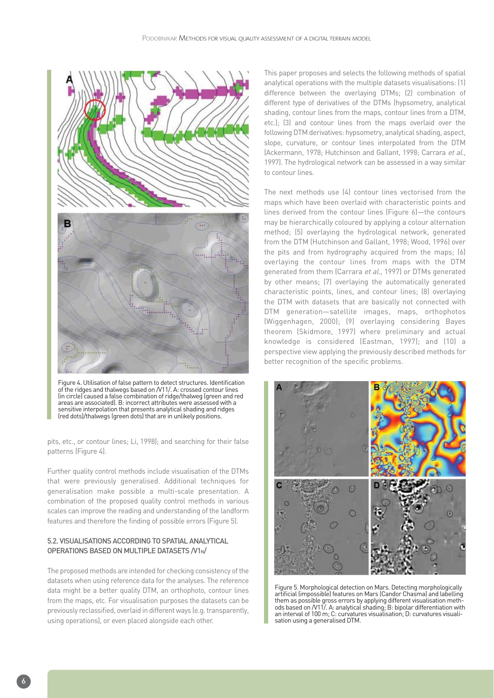

Figure 4. Utilisation of false pattern to detect structures. Identification of the ridges and thalwegs based on /V11/. A: crossed contour lines (in circle) caused a false combination of ridge/thalweg (green and red areas are associated). B: incorrect attributes were assessed with a sensitive interpolation that presents analytical shading and ridges (red dots)/thalwegs (green dots) that are in unlikely positions.

pits, etc., or contour lines; Li, 1998); and searching for their false patterns (Figure 4).

Further quality control methods include visualisation of the DTMs that were previously generalised. Additional techniques for generalisation make possible a multi-scale presentation. A combination of the proposed quality control methods in various scales can improve the reading and understanding of the landform features and therefore the finding of possible errors (Figure 5).

## 5.2. VISUALISATIONS ACCORDING TO SPATIAL ANALYTICAL OPERATIONS BASED ON MULTIPLE DATASETS /V1N/

The proposed methods are intended for checking consistency of the datasets when using reference data for the analyses. The reference data might be a better quality DTM, an orthophoto, contour lines from the maps, etc. For visualisation purposes the datasets can be previously reclassified, overlaid in different ways (e.g. transparently, using operations), or even placed alongside each other.

This paper proposes and selects the following methods of spatial analytical operations with the multiple datasets visualisations: (1) difference between the overlaying DTMs; (2) combination of different type of derivatives of the DTMs (hypsometry, analytical shading, contour lines from the maps, contour lines from a DTM, etc.); (3) and contour lines from the maps overlaid over the following DTM derivatives: hypsometry, analytical shading, aspect, slope, curvature, or contour lines interpolated from the DTM (Ackermann, 1978; Hutchinson and Gallant, 1998; Carrara et al., 1997). The hydrological network can be assessed in a way similar to contour lines.

The next methods use (4) contour lines vectorised from the maps which have been overlaid with characteristic points and lines derived from the contour lines (Figure 6)—the contours may be hierarchically coloured by applying a colour alternation method; (5) overlaying the hydrological network, generated from the DTM (Hutchinson and Gallant, 1998; Wood, 1996) over the pits and from hydrography acquired from the maps; (6) overlaying the contour lines from maps with the DTM generated from them (Carrara et al., 1997) or DTMs generated by other means; (7) overlaying the automatically generated characteristic points, lines, and contour lines; (8) overlaying the DTM with datasets that are basically not connected with DTM generation—satellite images, maps, orthophotos (Wiggenhagen, 2000); (9) overlaying considering Bayes theorem (Skidmore, 1997) where preliminary and actual knowledge is considered (Eastman, 1997); and (10) a perspective view applying the previously described methods for better recognition of the specific problems.



Figure 5. Morphological detection on Mars. Detecting morphologically artificial (impossible) features on Mars (Candor Chasma) and labelling them as possible gross errors by applying different visualisation methods based on /V11/. A: analytical shading; B: bipolar differentiation with an interval of 100 m; C: curvatures visualisation; D: curvatures visualisation using a generalised DTM.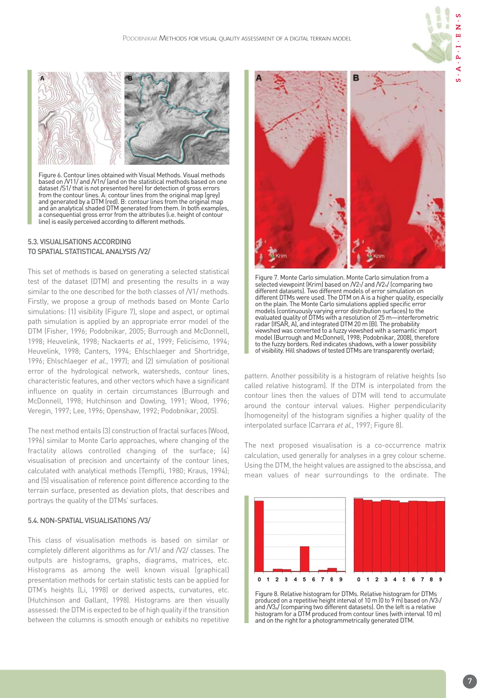

Figure 6. Contour lines obtained with Visual Methods. Visual methods based on /V11/ and /V1n/ (and on the statistical methods based on one dataset /S1/ that is not presented here) for detection of gross errors from the contour lines. A: contour lines from the original map (grey) and generated by a DTM (red). B: contour lines from the original map and an analytical shaded DTM generated from them. In both examples, a consequential gross error from the attributes (i.e. height of contour line) is easily perceived according to different methods.

## 5.3. VISUALISATIONS ACCORDING TO SPATIAL STATISTICAL ANALYSIS /V2/

This set of methods is based on generating a selected statistical test of the dataset (DTM) and presenting the results in a way similar to the one described for the both classes of  $N1/$  methods. Firstly, we propose a group of methods based on Monte Carlo simulations: (1) visibility (Figure 7), slope and aspect, or optimal path simulation is applied by an appropriate error model of the DTM (Fisher, 1996; Podobnikar, 2005; Burrough and McDonnell, 1998; Heuvelink, 1998; Nackaerts et al., 1999; Felicísimo, 1994; Heuvelink, 1998; Canters, 1994; Ehlschlaeger and Shortridge, 1996: Ehlschlaeger et al., 1997): and (2) simulation of positional error of the hydrological network, watersheds, contour lines, characteristic features, and other vectors which have a significant influence on quality in certain circumstances (Burrough and McDonnell, 1998; Hutchinson and Dowling, 1991; Wood, 1996; Veregin, 1997; Lee, 1996; Openshaw, 1992; Podobnikar, 2005).

The next method entails (3) construction of fractal surfaces (Wood, 1996) similar to Monte Carlo approaches, where changing of the fractality allows controlled changing of the surface; (4) visualisation of precision and uncertainty of the contour lines, calculated with analytical methods (Tempfli, 1980; Kraus, 1994); and (5) visualisation of reference point difference according to the terrain surface, presented as deviation plots, that describes and portrays the quality of the DTMs' surfaces.

## 5.4. NON-SPATIAL VISUALISATIONS /V3/

This class of visualisation methods is based on similar or completely different algorithms as for /V1/ and /V2/ classes. The outputs are histograms, graphs, diagrams, matrices, etc. Histograms as among the well known visual (graphical) presentation methods for certain statistic tests can be applied for DTM's heights (Li, 1998) or derived aspects, curvatures, etc. (Hutchinson and Gallant, 1998). Histograms are then visually assessed: the DTM is expected to be of high quality if the transition between the columns is smooth enough or exhibits no repetitive



Figure 7. Monte Carlo simulation. Monte Carlo simulation from a selected viewpoint (Krim) based on /V21/ and /V21/ (comparing two different datasets). Two different models of error simulation on different DTMs were used. The DTM on A is a higher quality, especially on the plain. The Monte Carlo simulations applied specific error models (continuously varying error distribution surfaces) to the evaluated quality of DTMs with a resolution of 25 m—interferometric radar (IfSAR, A), and integrated DTM 20 m (B). The probability viewshed was converted to a fuzzy viewshed with a semantic import model (Burrough and McDonnell, 1998; Podobnikar, 2008), therefore to the fuzzy borders. Red indicates shadows, with a lower possibility of visibility. Hill shadows of tested DTMs are transparently overlaid;

pattern. Another possibility is a histogram of relative heights (so called relative histogram). If the DTM is interpolated from the contour lines then the values of DTM will tend to accumulate around the contour interval values. Higher perpendicularity (homogeneity) of the histogram signifies a higher quality of the interpolated surface (Carrara et al., 1997; Figure 8).

The next proposed visualisation is a co-occurrence matrix calculation, used generally for analyses in a grey colour scheme. Using the DTM, the height values are assigned to the abscissa, and mean values of near surroundings to the ordinate. The



Figure 8. Relative histogram for DTMs. Relative histogram for DTMs produced on a repetitive height interval of 10 m (0 to 9 m) based on /V31/ and /V3n/ (comparing two different datasets). On the left is a relative histogram for a DTM produced from contour lines (with interval 10 m) and on the right for a photogrammetrically generated DTM.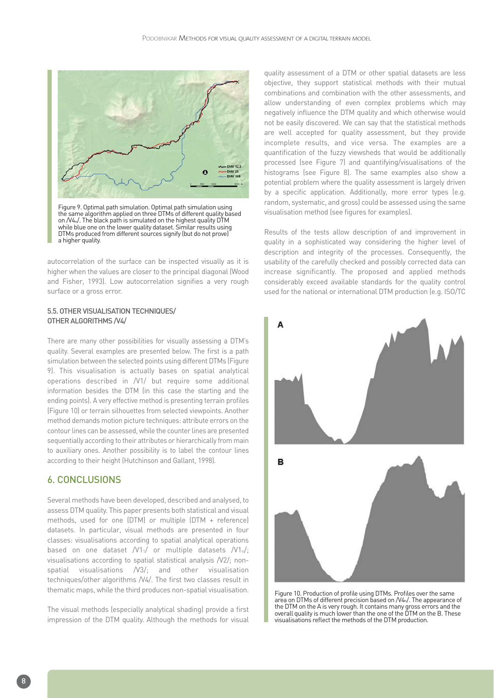

on /V4n/. The black path is simulated on the highest quality DTM while blue one on the lower quality dataset. Similar results using DTMs produced from different sources signify (but do not prove) a higher quality.

autocorrelation of the surface can be inspected visually as it is higher when the values are closer to the principal diagonal (Wood and Fisher, 1993). Low autocorrelation signifies a very rough surface or a gross error.

#### 5.5. OTHER VISUALISATION TECHNIQUES/ OTHER ALGORITHMS /V4/

There are many other possibilities for visually assessing a DTM's quality. Several examples are presented below. The first is a path simulation between the selected points using different DTMs (Figure 9). This visualisation is actually bases on spatial analytical operations described in /V1/ but require some additional information besides the DTM (in this case the starting and the ending points). A very effective method is presenting terrain profiles (Figure 10) or terrain silhouettes from selected viewpoints. Another method demands motion picture techniques: attribute errors on the contour lines can be assessed, while the counter lines are presented sequentially according to their attributes or hierarchically from main to auxiliary ones. Another possibility is to label the contour lines according to their height (Hutchinson and Gallant, 1998).

## 6. CONCLUSIONS

Several methods have been developed, described and analysed, to assess DTM quality. This paper presents both statistical and visual methods, used for one (DTM) or multiple (DTM + reference) datasets. In particular, visual methods are presented in four classes: visualisations according to spatial analytical operations based on one dataset /V11/ or multiple datasets /V1n/; visualisations according to spatial statistical analysis /V2/; nonspatial visualisations /V3/; and other visualisation techniques/other algorithms /V4/. The first two classes result in thematic maps, while the third produces non-spatial visualisation.

The visual methods (especially analytical shading) provide a first impression of the DTM quality. Although the methods for visual

quality assessment of a DTM or other spatial datasets are less objective, they support statistical methods with their mutual combinations and combination with the other assessments, and allow understanding of even complex problems which may negatively influence the DTM quality and which otherwise would not be easily discovered. We can say that the statistical methods are well accepted for quality assessment, but they provide incomplete results, and vice versa. The examples are a quantification of the fuzzy viewsheds that would be additionally processed (see Figure 7) and quantifying/visualisations of the histograms (see Figure 8). The same examples also show a potential problem where the quality assessment is largely driven by a specific application. Additionally, more error types (e.g. random, systematic, and gross) could be assessed using the same visualisation method (see figures for examples).

Results of the tests allow description of and improvement in quality in a sophisticated way considering the higher level of description and integrity of the processes. Consequently, the usability of the carefully checked and possibly corrected data can increase significantly. The proposed and applied methods considerably exceed available standards for the quality control used for the national or international DTM production (e.g. ISO/TC



Figure 10. Production of profile using DTMs. Profiles over the same area on DTMs of different precision based on  $N4_n$ . The appearance of the DTM on the A is very rough. It contains many gross errors and the overall quality is much lower than the one of the DTM on the B. These visualisations reflect the methods of the DTM production.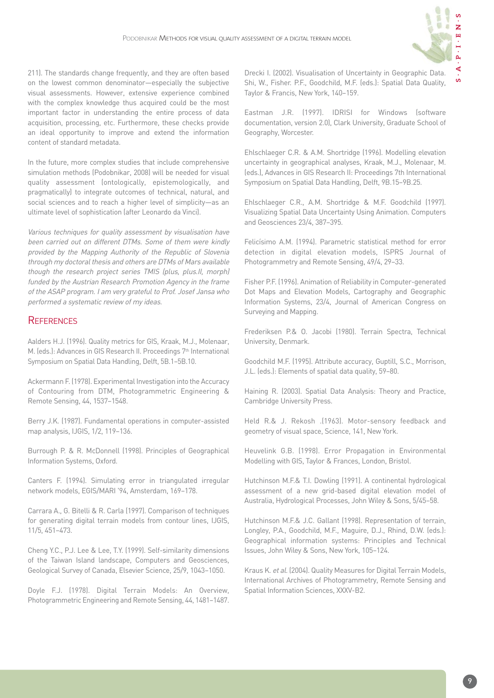

211). The standards change frequently, and they are often based on the lowest common denominator—especially the subjective visual assessments. However, extensive experience combined with the complex knowledge thus acquired could be the most important factor in understanding the entire process of data acquisition, processing, etc. Furthermore, these checks provide an ideal opportunity to improve and extend the information content of standard metadata.

In the future, more complex studies that include comprehensive simulation methods (Podobnikar, 2008) will be needed for visual quality assessment (ontologically, epistemologically, and pragmatically) to integrate outcomes of technical, natural, and social sciences and to reach a higher level of simplicity—as an ultimate level of sophistication (after Leonardo da Vinci).

Various techniques for quality assessment by visualisation have been carried out on different DTMs. Some of them were kindly provided by the Mapping Authority of the Republic of Slovenia through my doctoral thesis and others are DTMs of Mars available though the research project series TMIS (plus, plus.II, morph) funded by the Austrian Research Promotion Agency in the frame of the ASAP program. I am very grateful to Prof. Josef Jansa who performed a systematic review of my ideas.

## **REFERENCES**

Aalders H.J. (1996). Quality metrics for GIS, Kraak, M.J., Molenaar, M. (eds.): Advances in GIS Research II. Proceedings 7<sup>th</sup> International Symposium on Spatial Data Handling, Delft, 5B.1–5B.10.

Ackermann F. (1978). Experimental Investigation into the Accuracy of Contouring from DTM, Photogrammetric Engineering & Remote Sensing, 44, 1537–1548.

Berry J.K. (1987). Fundamental operations in computer-assisted map analysis, IJGIS, 1/2, 119–136.

Burrough P. & R. McDonnell (1998). Principles of Geographical Information Systems, Oxford.

Canters F. (1994). Simulating error in triangulated irregular network models, EGIS/MARI '94, Amsterdam, 169–178.

Carrara A., G. Bitelli & R. Carla (1997). Comparison of techniques for generating digital terrain models from contour lines, IJGIS, 11/5, 451–473.

Cheng Y.C., P.J. Lee & Lee, T.Y. (1999). Self-similarity dimensions of the Taiwan Island landscape, Computers and Geosciences, Geological Survey of Canada, Elsevier Science, 25/9, 1043–1050.

Doyle F.J. (1978). Digital Terrain Models: An Overview, Photogrammetric Engineering and Remote Sensing, 44, 1481–1487. Drecki I. (2002). Visualisation of Uncertainty in Geographic Data. Shi, W., Fisher. P.F., Goodchild, M.F. (eds.): Spatial Data Quality, Taylor & Francis, New York, 140–159.

Eastman J.R. (1997). IDRISI for Windows (software documentation, version 2.0), Clark University, Graduate School of Geography, Worcester.

Ehlschlaeger C.R. & A.M. Shortridge (1996). Modelling elevation uncertainty in geographical analyses, Kraak, M.J., Molenaar, M. (eds.), Advances in GIS Research II: Proceedings 7th International Symposium on Spatial Data Handling, Delft, 9B.15–9B.25.

Ehlschlaeger C.R., A.M. Shortridge & M.F. Goodchild (1997). Visualizing Spatial Data Uncertainty Using Animation. Computers and Geosciences 23/4, 387–395.

Felicísimo A.M. (1994). Parametric statistical method for error detection in digital elevation models, ISPRS Journal of Photogrammetry and Remote Sensing, 49/4, 29–33.

Fisher P.F. (1996). Animation of Reliability in Computer-generated Dot Maps and Elevation Models, Cartography and Geographic Information Systems, 23/4, Journal of American Congress on Surveying and Mapping.

Frederiksen P.& O. Jacobi (1980). Terrain Spectra, Technical University, Denmark.

Goodchild M.F. (1995). Attribute accuracy, Guptill, S.C., Morrison, J.L. (eds.): Elements of spatial data quality, 59–80.

Haining R. (2003). Spatial Data Analysis: Theory and Practice, Cambridge University Press.

Held R.& J. Rekosh .(1963). Motor-sensory feedback and geometry of visual space, Science, 141, New York.

Heuvelink G.B. (1998). Error Propagation in Environmental Modelling with GIS, Taylor & Frances, London, Bristol.

Hutchinson M.F.& T.I. Dowling (1991). A continental hydrological assessment of a new grid-based digital elevation model of Australia, Hydrological Processes, John Wiley & Sons, 5/45–58.

Hutchinson M.F.& J.C. Gallant (1998). Representation of terrain, Longley, P.A., Goodchild, M.F., Maguire, D.J., Rhind, D.W. (eds.): Geographical information systems: Principles and Technical Issues, John Wiley & Sons, New York, 105–124.

Kraus K. et al. (2004). Quality Measures for Digital Terrain Models, International Archives of Photogrammetry, Remote Sensing and Spatial Information Sciences, XXXV-B2.